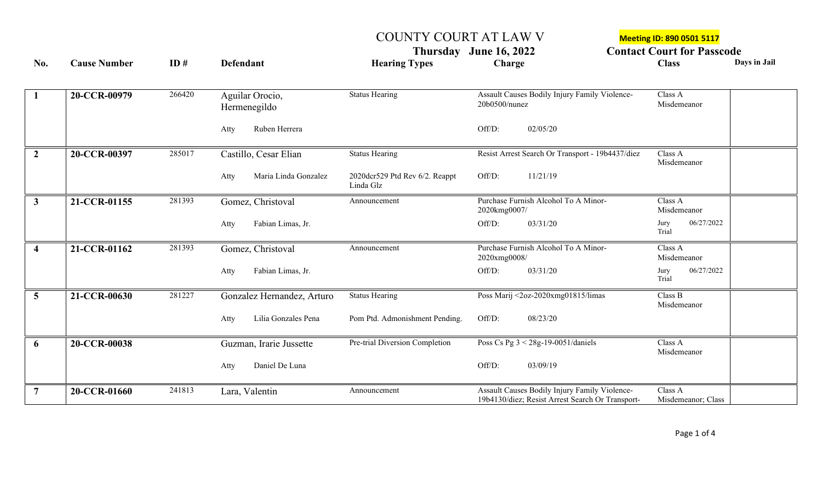## COUNTY COURT AT LAW V Meeting ID: 890 0501 5117

Thursday June 16, 2022 **Contact Court for Passcode**<br>
Charge Class Charge Class Days in Jail **No. Cause Number ID # Defendant Hearing Types Charge Class Days in Jail**

| $\mathbf{1}$   | 20-CCR-00979 | 266420 | Aguilar Orocio,<br>Hermenegildo | <b>Status Hearing</b>                       | Assault Causes Bodily Injury Family Violence-<br>20b0500/nunez                                    | Class A<br>Misdemeanor        |
|----------------|--------------|--------|---------------------------------|---------------------------------------------|---------------------------------------------------------------------------------------------------|-------------------------------|
|                |              |        | Ruben Herrera<br>Atty           |                                             | Off/D:<br>02/05/20                                                                                |                               |
| $\overline{2}$ | 20-CCR-00397 | 285017 | Castillo, Cesar Elian           | <b>Status Hearing</b>                       | Resist Arrest Search Or Transport - 19b4437/diez                                                  | Class A<br>Misdemeanor        |
|                |              |        | Maria Linda Gonzalez<br>Atty    | 2020dcr529 Ptd Rev 6/2. Reappt<br>Linda Glz | Off/D:<br>11/21/19                                                                                |                               |
| $\mathbf{3}$   | 21-CCR-01155 | 281393 | Gomez, Christoval               | Announcement                                | Purchase Furnish Alcohol To A Minor-<br>2020kmg0007/                                              | Class A<br>Misdemeanor        |
|                |              |        | Fabian Limas, Jr.<br>Atty       |                                             | Off/D:<br>03/31/20                                                                                | 06/27/2022<br>Jury<br>Trial   |
|                | 21-CCR-01162 | 281393 | Gomez, Christoval               | Announcement                                | Purchase Furnish Alcohol To A Minor-<br>2020xmg0008/                                              | Class A<br>Misdemeanor        |
|                |              |        | Fabian Limas, Jr.<br>Atty       |                                             | Off/D:<br>03/31/20                                                                                | 06/27/2022<br>Jury<br>Trial   |
| $5^{\circ}$    | 21-CCR-00630 | 281227 | Gonzalez Hernandez, Arturo      | <b>Status Hearing</b>                       | Poss Marij <2oz-2020xmg01815/limas                                                                | Class B<br>Misdemeanor        |
|                |              |        | Atty<br>Lilia Gonzales Pena     | Pom Ptd. Admonishment Pending.              | Off/D:<br>08/23/20                                                                                |                               |
| 6              | 20-CCR-00038 |        | Guzman, Irarie Jussette         | Pre-trial Diversion Completion              | Poss Cs Pg $3 < 28g-19-005\overline{1/a}$ aniels                                                  | Class A<br>Misdemeanor        |
|                |              |        | Daniel De Luna<br>Atty          |                                             | Off/D:<br>03/09/19                                                                                |                               |
|                | 20-CCR-01660 | 241813 | Lara, Valentin                  | Announcement                                | Assault Causes Bodily Injury Family Violence-<br>19b4130/diez; Resist Arrest Search Or Transport- | Class A<br>Misdemeanor; Class |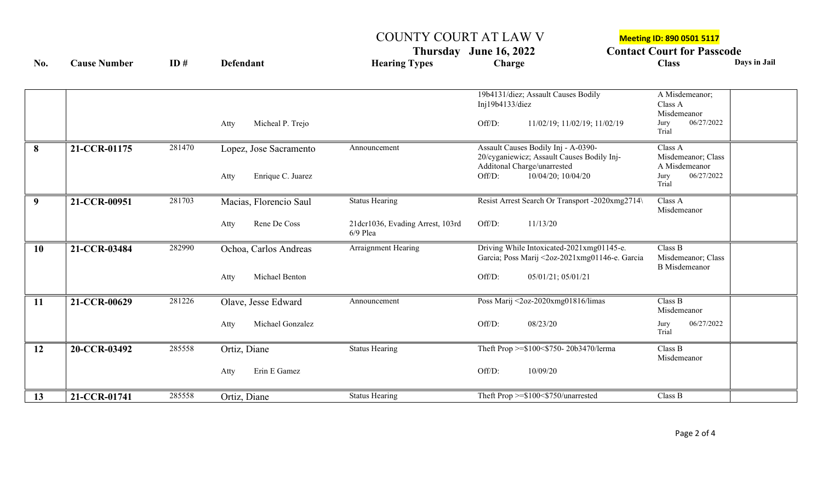COUNTY COURT AT LAW V<br> **COUNTY COURT AT LAW V**<br> **Contact Court for Passe**<br> **Charge Charge Charge Thursday June 16, 2022 Contact Court for Passcode**

| No.       | <b>Cause Number</b> | ID#    | <b>Defendant</b>          | <b>Hearing Types</b>                           | Charge                                                                            | <b>Class</b>                               | Days in Jail |
|-----------|---------------------|--------|---------------------------|------------------------------------------------|-----------------------------------------------------------------------------------|--------------------------------------------|--------------|
|           |                     |        |                           |                                                |                                                                                   |                                            |              |
|           |                     |        |                           |                                                | 19b4131/diez; Assault Causes Bodily<br>Inj19b4133/diez                            | A Misdemeanor;<br>Class A                  |              |
|           |                     |        |                           |                                                |                                                                                   | Misdemeanor                                |              |
|           |                     |        | Micheal P. Trejo<br>Atty  |                                                | Off/D:<br>11/02/19; 11/02/19; 11/02/19                                            | 06/27/2022<br>Jury<br>Trial                |              |
| 8         | 21-CCR-01175        | 281470 | Lopez, Jose Sacramento    | Announcement                                   | Assault Causes Bodily Inj - A-0390-<br>20/cyganiewicz; Assault Causes Bodily Inj- | Class A<br>Misdemeanor; Class              |              |
|           |                     |        |                           |                                                | Additonal Charge/unarrested                                                       | A Misdemeanor                              |              |
|           |                     |        | Enrique C. Juarez<br>Atty |                                                | Off/D:<br>10/04/20; 10/04/20                                                      | 06/27/2022<br>Jury<br>Trial                |              |
| 9         | 21-CCR-00951        | 281703 | Macias, Florencio Saul    | <b>Status Hearing</b>                          | Resist Arrest Search Or Transport -2020xmg2714\                                   | Class A                                    |              |
|           |                     |        |                           |                                                |                                                                                   | Misdemeanor                                |              |
|           |                     |        | Rene De Coss<br>Atty      | 21dcr1036, Evading Arrest, 103rd<br>$6/9$ Plea | 11/13/20<br>Off/D:                                                                |                                            |              |
| <b>10</b> | 21-CCR-03484        | 282990 | Ochoa, Carlos Andreas     | Arraignment Hearing                            | Driving While Intoxicated-2021xmg01145-e.                                         | Class B                                    |              |
|           |                     |        |                           |                                                | Garcia; Poss Marij <2oz-2021xmg01146-e. Garcia                                    | Misdemeanor; Class<br><b>B</b> Misdemeanor |              |
|           |                     |        | Michael Benton<br>Atty    |                                                | 05/01/21; 05/01/21<br>Off/D:                                                      |                                            |              |
|           |                     |        |                           |                                                |                                                                                   |                                            |              |
| <b>11</b> | 21-CCR-00629        | 281226 | Olave, Jesse Edward       | Announcement                                   | Poss Marij <2oz-2020xmg01816/limas                                                | Class B<br>Misdemeanor                     |              |
|           |                     |        | Michael Gonzalez<br>Atty  |                                                | Off/D:<br>08/23/20                                                                | 06/27/2022<br>Jury                         |              |
|           |                     |        |                           |                                                |                                                                                   | Trial                                      |              |
| <b>12</b> | 20-CCR-03492        | 285558 | Ortiz, Diane              | <b>Status Hearing</b>                          | Theft Prop >=\$100<\$750-20b3470/lerma                                            | Class B                                    |              |
|           |                     |        |                           |                                                |                                                                                   | Misdemeanor                                |              |
|           |                     |        | Erin E Gamez<br>Atty      |                                                | Off/D:<br>10/09/20                                                                |                                            |              |
| 13        | 21-CCR-01741        | 285558 | Ortiz, Diane              | <b>Status Hearing</b>                          | Theft Prop >=\$100<\$750/unarrested                                               | Class B                                    |              |
|           |                     |        |                           |                                                |                                                                                   |                                            |              |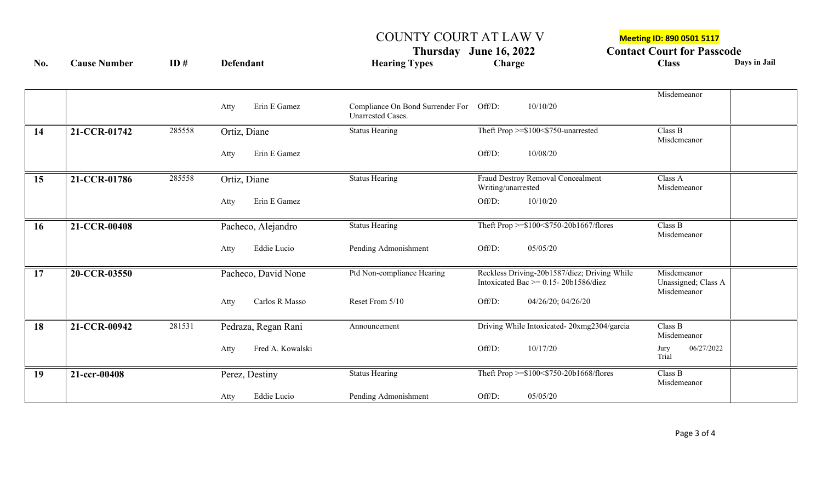## COUNTY COURT AT LAW V Meeting ID: 890 0501 5117

Thursday June 16, 2022 **Contact Court for Passcode**<br>
Charge Class Charge Class Days in Jail **No. Cause Number ID # Defendant Hearing Types Charge Class Days in Jail**

|    |              |        | Erin E Gamez<br>Atty     | Compliance On Bond Surrender For Off/D:<br><b>Unarrested Cases.</b> | 10/10/20                                                                                  | Misdemeanor                        |
|----|--------------|--------|--------------------------|---------------------------------------------------------------------|-------------------------------------------------------------------------------------------|------------------------------------|
| 14 | 21-CCR-01742 | 285558 | Ortiz, Diane             | <b>Status Hearing</b>                                               | Theft Prop >=\$100<\$750-unarrested                                                       | Class B<br>Misdemeanor             |
|    |              |        | Erin E Gamez<br>Atty     |                                                                     | Off/D:<br>10/08/20                                                                        |                                    |
| 15 | 21-CCR-01786 | 285558 | Ortiz, Diane             | <b>Status Hearing</b>                                               | Fraud Destroy Removal Concealment<br>Writing/unarrested                                   | Class A<br>Misdemeanor             |
|    |              |        | Erin E Gamez<br>Atty     |                                                                     | Off/D:<br>10/10/20                                                                        |                                    |
| 16 | 21-CCR-00408 |        | Pacheco, Alejandro       | <b>Status Hearing</b>                                               | Theft Prop >=\$100<\$750-20b1667/flores                                                   | Class B<br>Misdemeanor             |
|    |              |        | Eddie Lucio<br>Atty      | Pending Admonishment                                                | Off/D:<br>05/05/20                                                                        |                                    |
| 17 | 20-CCR-03550 |        | Pacheco, David None      | Ptd Non-compliance Hearing                                          | Reckless Driving-20b1587/diez; Driving While<br>Intoxicated Bac $\ge$ = 0.15-20b1586/diez | Misdemeanor<br>Unassigned; Class A |
|    |              |        | Carlos R Masso<br>Atty   | Reset From 5/10                                                     | Off/D:<br>04/26/20; 04/26/20                                                              | Misdemeanor                        |
| 18 | 21-CCR-00942 | 281531 | Pedraza, Regan Rani      | Announcement                                                        | Driving While Intoxicated-20xmg2304/garcia                                                | Class B<br>Misdemeanor             |
|    |              |        | Fred A. Kowalski<br>Atty |                                                                     | Off/D:<br>10/17/20                                                                        | 06/27/2022<br>Jury<br>Trial        |
| 19 | 21-ccr-00408 |        | Perez, Destiny           | <b>Status Hearing</b>                                               | Theft Prop >=\$100<\$750-20b1668/flores                                                   | Class B<br>Misdemeanor             |
|    |              |        | Eddie Lucio<br>Atty      | Pending Admonishment                                                | Off/D:<br>05/05/20                                                                        |                                    |